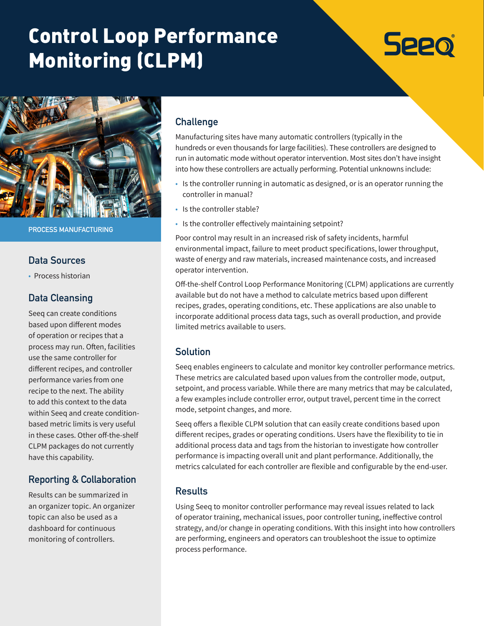# Control Loop Performance Monitoring (CLPM)

# **Seeo**



**PROCESS MANUFACTURING**

#### **Data Sources**

• Process historian

#### **Data Cleansing**

Seeq can create conditions based upon different modes of operation or recipes that a process may run. Often, facilities use the same controller for different recipes, and controller performance varies from one recipe to the next. The ability to add this context to the data within Seeq and create conditionbased metric limits is very useful in these cases. Other off-the-shelf CLPM packages do not currently have this capability.

# **Reporting & Collaboration**

Results can be summarized in an organizer topic. An organizer topic can also be used as a dashboard for continuous monitoring of controllers.

### **Challenge**

Manufacturing sites have many automatic controllers (typically in the hundreds or even thousands for large facilities). These controllers are designed to run in automatic mode without operator intervention. Most sites don't have insight into how these controllers are actually performing. Potential unknowns include:

- Is the controller running in automatic as designed, or is an operator running the controller in manual?
- Is the controller stable?
- Is the controller effectively maintaining setpoint?

Poor control may result in an increased risk of safety incidents, harmful environmental impact, failure to meet product specifications, lower throughput, waste of energy and raw materials, increased maintenance costs, and increased operator intervention.

Off-the-shelf Control Loop Performance Monitoring (CLPM) applications are currently available but do not have a method to calculate metrics based upon different recipes, grades, operating conditions, etc. These applications are also unable to incorporate additional process data tags, such as overall production, and provide limited metrics available to users.

#### **Solution**

Seeq enables engineers to calculate and monitor key controller performance metrics. These metrics are calculated based upon values from the controller mode, output, setpoint, and process variable. While there are many metrics that may be calculated, a few examples include controller error, output travel, percent time in the correct mode, setpoint changes, and more.

Seeq offers a flexible CLPM solution that can easily create conditions based upon different recipes, grades or operating conditions. Users have the flexibility to tie in additional process data and tags from the historian to investigate how controller performance is impacting overall unit and plant performance. Additionally, the metrics calculated for each controller are flexible and configurable by the end-user.

#### **Results**

Using Seeq to monitor controller performance may reveal issues related to lack of operator training, mechanical issues, poor controller tuning, ineffective control strategy, and/or change in operating conditions. With this insight into how controllers are performing, engineers and operators can troubleshoot the issue to optimize process performance.